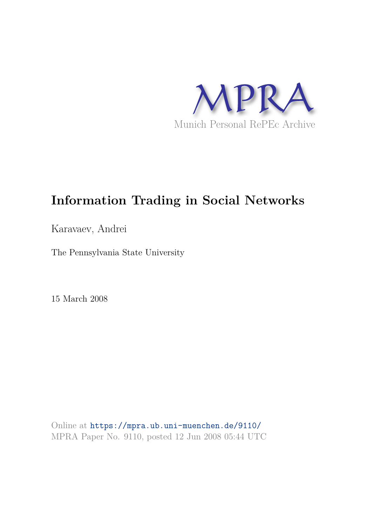

# **Information Trading in Social Networks**

Karavaev, Andrei

The Pennsylvania State University

15 March 2008

Online at https://mpra.ub.uni-muenchen.de/9110/ MPRA Paper No. 9110, posted 12 Jun 2008 05:44 UTC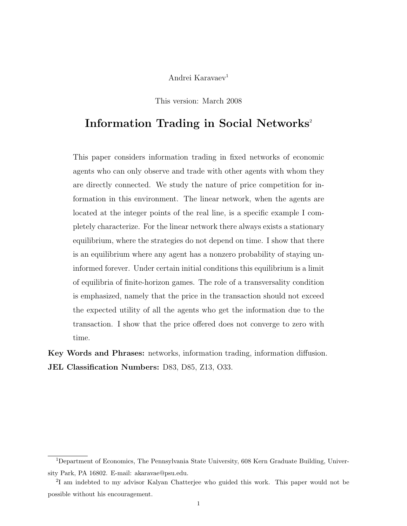## Andrei Karavaev<sup>1</sup>

This version: March 2008

# Information Trading in Social Networks<sup>2</sup>

This paper considers information trading in fixed networks of economic agents who can only observe and trade with other agents with whom they are directly connected. We study the nature of price competition for information in this environment. The linear network, when the agents are located at the integer points of the real line, is a specific example I completely characterize. For the linear network there always exists a stationary equilibrium, where the strategies do not depend on time. I show that there is an equilibrium where any agent has a nonzero probability of staying uninformed forever. Under certain initial conditions this equilibrium is a limit of equilibria of finite-horizon games. The role of a transversality condition is emphasized, namely that the price in the transaction should not exceed the expected utility of all the agents who get the information due to the transaction. I show that the price offered does not converge to zero with time.

Key Words and Phrases: networks, information trading, information diffusion. JEL Classification Numbers: D83, D85, Z13, O33.

<sup>1</sup>Department of Economics, The Pennsylvania State University, 608 Kern Graduate Building, University Park, PA 16802. E-mail: akaravae@psu.edu.

<sup>&</sup>lt;sup>2</sup>I am indebted to my advisor Kalyan Chatterjee who guided this work. This paper would not be possible without his encouragement.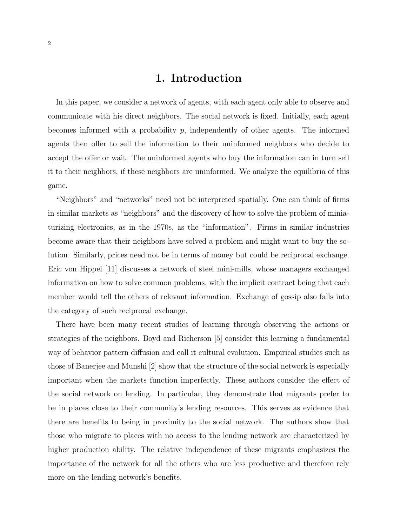# 1. Introduction

In this paper, we consider a network of agents, with each agent only able to observe and communicate with his direct neighbors. The social network is fixed. Initially, each agent becomes informed with a probability  $p$ , independently of other agents. The informed agents then offer to sell the information to their uninformed neighbors who decide to accept the offer or wait. The uninformed agents who buy the information can in turn sell it to their neighbors, if these neighbors are uninformed. We analyze the equilibria of this game.

"Neighbors" and "networks" need not be interpreted spatially. One can think of firms in similar markets as "neighbors" and the discovery of how to solve the problem of miniaturizing electronics, as in the 1970s, as the "information". Firms in similar industries become aware that their neighbors have solved a problem and might want to buy the solution. Similarly, prices need not be in terms of money but could be reciprocal exchange. Eric von Hippel [11] discusses a network of steel mini-mills, whose managers exchanged information on how to solve common problems, with the implicit contract being that each member would tell the others of relevant information. Exchange of gossip also falls into the category of such reciprocal exchange.

There have been many recent studies of learning through observing the actions or strategies of the neighbors. Boyd and Richerson [5] consider this learning a fundamental way of behavior pattern diffusion and call it cultural evolution. Empirical studies such as those of Banerjee and Munshi [2] show that the structure of the social network is especially important when the markets function imperfectly. These authors consider the effect of the social network on lending. In particular, they demonstrate that migrants prefer to be in places close to their community's lending resources. This serves as evidence that there are benefits to being in proximity to the social network. The authors show that those who migrate to places with no access to the lending network are characterized by higher production ability. The relative independence of these migrants emphasizes the importance of the network for all the others who are less productive and therefore rely more on the lending network's benefits.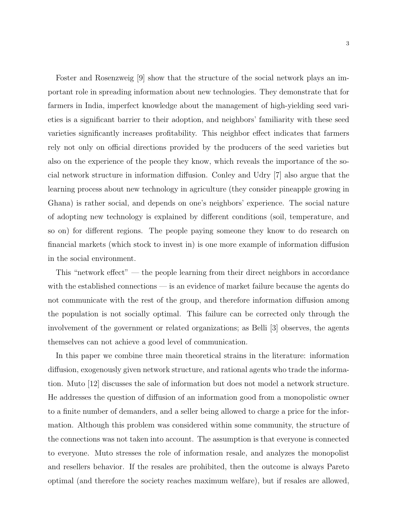Foster and Rosenzweig [9] show that the structure of the social network plays an important role in spreading information about new technologies. They demonstrate that for farmers in India, imperfect knowledge about the management of high-yielding seed varieties is a significant barrier to their adoption, and neighbors' familiarity with these seed varieties significantly increases profitability. This neighbor effect indicates that farmers rely not only on official directions provided by the producers of the seed varieties but also on the experience of the people they know, which reveals the importance of the social network structure in information diffusion. Conley and Udry [7] also argue that the learning process about new technology in agriculture (they consider pineapple growing in Ghana) is rather social, and depends on one's neighbors' experience. The social nature of adopting new technology is explained by different conditions (soil, temperature, and so on) for different regions. The people paying someone they know to do research on financial markets (which stock to invest in) is one more example of information diffusion in the social environment.

This "network effect" — the people learning from their direct neighbors in accordance with the established connections — is an evidence of market failure because the agents do not communicate with the rest of the group, and therefore information diffusion among the population is not socially optimal. This failure can be corrected only through the involvement of the government or related organizations; as Belli [3] observes, the agents themselves can not achieve a good level of communication.

In this paper we combine three main theoretical strains in the literature: information diffusion, exogenously given network structure, and rational agents who trade the information. Muto [12] discusses the sale of information but does not model a network structure. He addresses the question of diffusion of an information good from a monopolistic owner to a finite number of demanders, and a seller being allowed to charge a price for the information. Although this problem was considered within some community, the structure of the connections was not taken into account. The assumption is that everyone is connected to everyone. Muto stresses the role of information resale, and analyzes the monopolist and resellers behavior. If the resales are prohibited, then the outcome is always Pareto optimal (and therefore the society reaches maximum welfare), but if resales are allowed,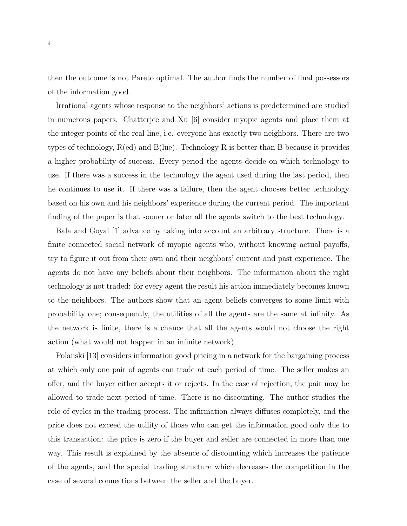then the outcome is not Pareto optimal. The author finds the number of final possessors of the information good.

Irrational agents whose response to the neighbors' actions is predetermined are studied in numerous papers. Chatterjee and Xu [6] consider myopic agents and place them at the integer points of the real line, i.e. everyone has exactly two neighbors. There are two types of technology, R(ed) and B(lue). Technology R is better than B because it provides a higher probability of success. Every period the agents decide on which technology to use. If there was a success in the technology the agent used during the last period, then he continues to use it. If there was a failure, then the agent chooses better technology based on his own and his neighbors' experience during the current period. The important finding of the paper is that sooner or later all the agents switch to the best technology.

Bala and Goyal [1] advance by taking into account an arbitrary structure. There is a finite connected social network of myopic agents who, without knowing actual payoffs, try to figure it out from their own and their neighbors' current and past experience. The agents do not have any beliefs about their neighbors. The information about the right technology is not traded: for every agent the result his action immediately becomes known to the neighbors. The authors show that an agent beliefs converges to some limit with probability one; consequently, the utilities of all the agents are the same at infinity. As the network is finite, there is a chance that all the agents would not choose the right action (what would not happen in an infinite network).

Polanski [13] considers information good pricing in a network for the bargaining process at which only one pair of agents can trade at each period of time. The seller makes an offer, and the buyer either accepts it or rejects. In the case of rejection, the pair may be allowed to trade next period of time. There is no discounting. The author studies the role of cycles in the trading process. The infirmation always diffuses completely, and the price does not exceed the utility of those who can get the information good only due to this transaction: the price is zero if the buyer and seller are connected in more than one way. This result is explained by the absence of discounting which increases the patience of the agents, and the special trading structure which decreases the competition in the case of several connections between the seller and the buyer.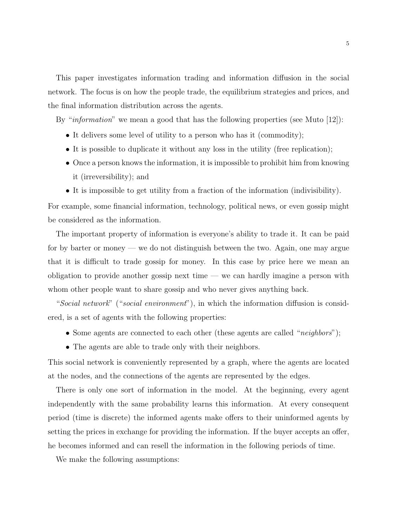This paper investigates information trading and information diffusion in the social network. The focus is on how the people trade, the equilibrium strategies and prices, and the final information distribution across the agents.

By "*information*" we mean a good that has the following properties (see Muto [12]):

- It delivers some level of utility to a person who has it (commodity);
- It is possible to duplicate it without any loss in the utility (free replication);
- Once a person knows the information, it is impossible to prohibit him from knowing it (irreversibility); and
- It is impossible to get utility from a fraction of the information (indivisibility).

For example, some financial information, technology, political news, or even gossip might be considered as the information.

The important property of information is everyone's ability to trade it. It can be paid for by barter or money — we do not distinguish between the two. Again, one may argue that it is difficult to trade gossip for money. In this case by price here we mean an obligation to provide another gossip next time — we can hardly imagine a person with whom other people want to share gossip and who never gives anything back.

"Social network" ("social environment"), in which the information diffusion is considered, is a set of agents with the following properties:

- Some agents are connected to each other (these agents are called "*neighbors*");
- The agents are able to trade only with their neighbors.

This social network is conveniently represented by a graph, where the agents are located at the nodes, and the connections of the agents are represented by the edges.

There is only one sort of information in the model. At the beginning, every agent independently with the same probability learns this information. At every consequent period (time is discrete) the informed agents make offers to their uninformed agents by setting the prices in exchange for providing the information. If the buyer accepts an offer, he becomes informed and can resell the information in the following periods of time.

We make the following assumptions: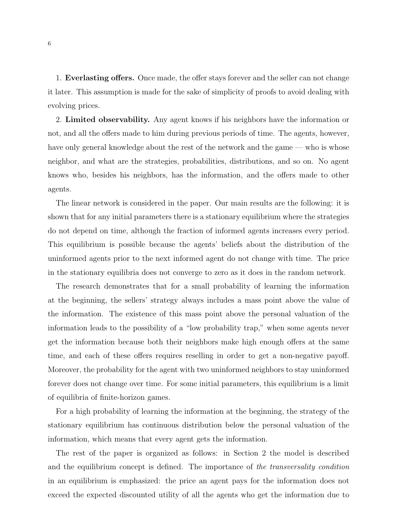1. Everlasting offers. Once made, the offer stays forever and the seller can not change it later. This assumption is made for the sake of simplicity of proofs to avoid dealing with evolving prices.

2. Limited observability. Any agent knows if his neighbors have the information or not, and all the offers made to him during previous periods of time. The agents, however, have only general knowledge about the rest of the network and the game — who is whose neighbor, and what are the strategies, probabilities, distributions, and so on. No agent knows who, besides his neighbors, has the information, and the offers made to other agents.

The linear network is considered in the paper. Our main results are the following: it is shown that for any initial parameters there is a stationary equilibrium where the strategies do not depend on time, although the fraction of informed agents increases every period. This equilibrium is possible because the agents' beliefs about the distribution of the uninformed agents prior to the next informed agent do not change with time. The price in the stationary equilibria does not converge to zero as it does in the random network.

The research demonstrates that for a small probability of learning the information at the beginning, the sellers' strategy always includes a mass point above the value of the information. The existence of this mass point above the personal valuation of the information leads to the possibility of a "low probability trap," when some agents never get the information because both their neighbors make high enough offers at the same time, and each of these offers requires reselling in order to get a non-negative payoff. Moreover, the probability for the agent with two uninformed neighbors to stay uninformed forever does not change over time. For some initial parameters, this equilibrium is a limit of equilibria of finite-horizon games.

For a high probability of learning the information at the beginning, the strategy of the stationary equilibrium has continuous distribution below the personal valuation of the information, which means that every agent gets the information.

The rest of the paper is organized as follows: in Section 2 the model is described and the equilibrium concept is defined. The importance of the transversality condition in an equilibrium is emphasized: the price an agent pays for the information does not exceed the expected discounted utility of all the agents who get the information due to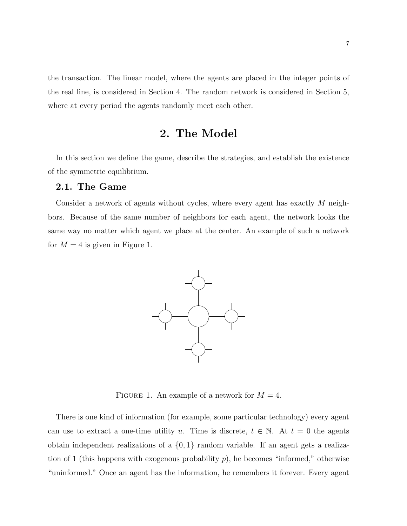the transaction. The linear model, where the agents are placed in the integer points of the real line, is considered in Section 4. The random network is considered in Section 5, where at every period the agents randomly meet each other.

# 2. The Model

In this section we define the game, describe the strategies, and establish the existence of the symmetric equilibrium.

### 2.1. The Game

Consider a network of agents without cycles, where every agent has exactly M neighbors. Because of the same number of neighbors for each agent, the network looks the same way no matter which agent we place at the center. An example of such a network for  $M = 4$  is given in Figure 1.



FIGURE 1. An example of a network for  $M = 4$ .

There is one kind of information (for example, some particular technology) every agent can use to extract a one-time utility u. Time is discrete,  $t \in \mathbb{N}$ . At  $t = 0$  the agents obtain independent realizations of a  $\{0,1\}$  random variable. If an agent gets a realization of 1 (this happens with exogenous probability  $p$ ), he becomes "informed," otherwise "uninformed." Once an agent has the information, he remembers it forever. Every agent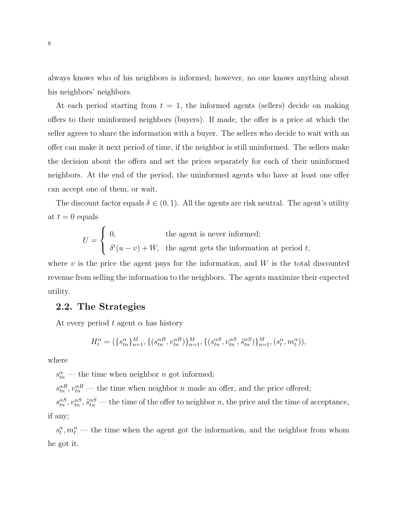always knows who of his neighbors is informed; however, no one knows anything about his neighbors' neighbors.

At each period starting from  $t = 1$ , the informed agents (sellers) decide on making offers to their uninformed neighbors (buyers). If made, the offer is a price at which the seller agrees to share the information with a buyer. The sellers who decide to wait with an offer can make it next period of time, if the neighbor is still uninformed. The sellers make the decision about the offers and set the prices separately for each of their uninformed neighbors. At the end of the period, the uninformed agents who have at least one offer can accept one of them, or wait.

The discount factor equals  $\delta \in (0, 1)$ . All the agents are risk neutral. The agent's utility at  $t = 0$  equals

$$
U = \begin{cases} 0, & \text{the agent is never informed;} \\ \delta^t(u-v) + W, & \text{the agent gets the information at period } t, \end{cases}
$$

where  $v$  is the price the agent pays for the information, and  $W$  is the total discounted revenue from selling the information to the neighbors. The agents maximize their expected utility.

### 2.2. The Strategies

At every period t agent  $\alpha$  has history

$$
H^\alpha_t = (\{s^\alpha_{tn}\}_{n=1}^M, \{(s^{\alpha B}_{tn}, v^{\alpha B}_{tn})\}_{n=1}^M, \{(s^{\alpha S}_{tn}, v^{\alpha S}_{tn}, \tilde{s}^{\alpha S}_{tn})\}_{n=1}^M, (s^\alpha_t, m^\alpha_t)),
$$

where

 $s_{tn}^{\alpha}$  — the time when neighbor *n* got informed;

 $s_{tn}^{\alpha B}, v_{tn}^{\alpha B}$  — the time when neighbor n made an offer, and the price offered;

 $s_{tn}^{\alpha S}, v_{tn}^{\alpha S}, \tilde{s}_{tn}^{\alpha S}$  — the time of the offer to neighbor n, the price and the time of acceptance, if any;

 $s_t^{\alpha}, m_t^{\alpha}$  — the time when the agent got the information, and the neighbor from whom he got it.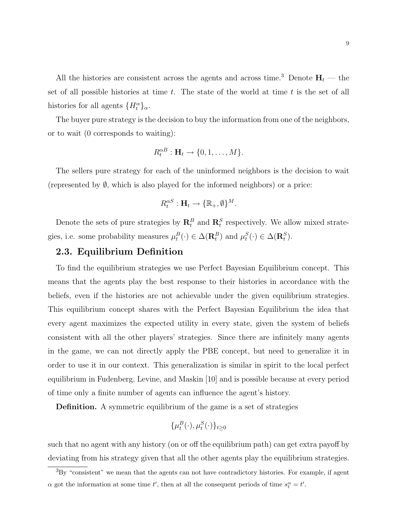All the histories are consistent across the agents and across time.<sup>3</sup> Denote  $\mathbf{H}_t$  — the set of all possible histories at time  $t$ . The state of the world at time  $t$  is the set of all histories for all agents  $\{H_t^{\alpha}\}_\alpha$ .

The buyer pure strategy is the decision to buy the information from one of the neighbors, or to wait (0 corresponds to waiting):

$$
R_t^{\alpha B} : \mathbf{H}_t \to \{0, 1, \dots, M\}.
$$

The sellers pure strategy for each of the uninformed neighbors is the decision to wait (represented by  $\emptyset$ , which is also played for the informed neighbors) or a price:

$$
R_t^{\alpha S}: \mathbf{H}_t \to {\mathbb{R}_+}, \emptyset\}^M.
$$

Denote the sets of pure strategies by  $\mathbb{R}_t^B$  and  $\mathbb{R}_t^S$  respectively. We allow mixed strategies, i.e. some probability measures  $\mu_t^B(\cdot) \in \Delta(\mathbf{R}_t^B)$  and  $\mu_t^S(\cdot) \in \Delta(\mathbf{R}_t^S)$ .

### 2.3. Equilibrium Definition

To find the equilibrium strategies we use Perfect Bayesian Equilibrium concept. This means that the agents play the best response to their histories in accordance with the beliefs, even if the histories are not achievable under the given equilibrium strategies. This equilibrium concept shares with the Perfect Bayesian Equilibrium the idea that every agent maximizes the expected utility in every state, given the system of beliefs consistent with all the other players' strategies. Since there are infinitely many agents in the game, we can not directly apply the PBE concept, but need to generalize it in order to use it in our context. This generalization is similar in spirit to the local perfect equilibrium in Fudenberg, Levine, and Maskin [10] and is possible because at every period of time only a finite number of agents can influence the agent's history.

Definition. A symmetric equilibrium of the game is a set of strategies

$$
\{\mu_t^B(\cdot), \mu_t^S(\cdot)\}_{t\geq 0}
$$

such that no agent with any history (on or off the equilibrium path) can get extra payoff by deviating from his strategy given that all the other agents play the equilibrium strategies.

<sup>3</sup>By "consistent" we mean that the agents can not have contradictory histories. For example, if agent  $\alpha$  got the information at some time t', then at all the consequent periods of time  $s_t^{\alpha} = t'$ .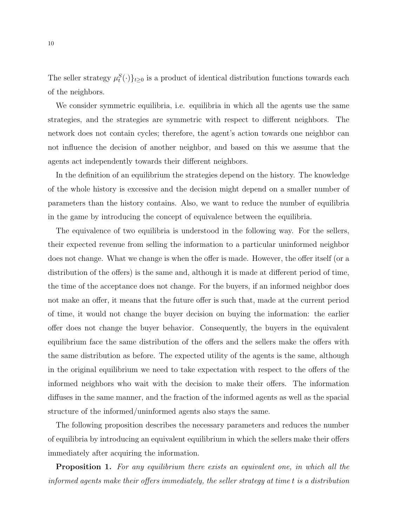The seller strategy  $\mu_t^S(\cdot)\}_{t\geq 0}$  is a product of identical distribution functions towards each of the neighbors.

We consider symmetric equilibria, i.e. equilibria in which all the agents use the same strategies, and the strategies are symmetric with respect to different neighbors. The network does not contain cycles; therefore, the agent's action towards one neighbor can not influence the decision of another neighbor, and based on this we assume that the agents act independently towards their different neighbors.

In the definition of an equilibrium the strategies depend on the history. The knowledge of the whole history is excessive and the decision might depend on a smaller number of parameters than the history contains. Also, we want to reduce the number of equilibria in the game by introducing the concept of equivalence between the equilibria.

The equivalence of two equilibria is understood in the following way. For the sellers, their expected revenue from selling the information to a particular uninformed neighbor does not change. What we change is when the offer is made. However, the offer itself (or a distribution of the offers) is the same and, although it is made at different period of time, the time of the acceptance does not change. For the buyers, if an informed neighbor does not make an offer, it means that the future offer is such that, made at the current period of time, it would not change the buyer decision on buying the information: the earlier offer does not change the buyer behavior. Consequently, the buyers in the equivalent equilibrium face the same distribution of the offers and the sellers make the offers with the same distribution as before. The expected utility of the agents is the same, although in the original equilibrium we need to take expectation with respect to the offers of the informed neighbors who wait with the decision to make their offers. The information diffuses in the same manner, and the fraction of the informed agents as well as the spacial structure of the informed/uninformed agents also stays the same.

The following proposition describes the necessary parameters and reduces the number of equilibria by introducing an equivalent equilibrium in which the sellers make their offers immediately after acquiring the information.

**Proposition 1.** For any equilibrium there exists an equivalent one, in which all the informed agents make their offers immediately, the seller strategy at time t is a distribution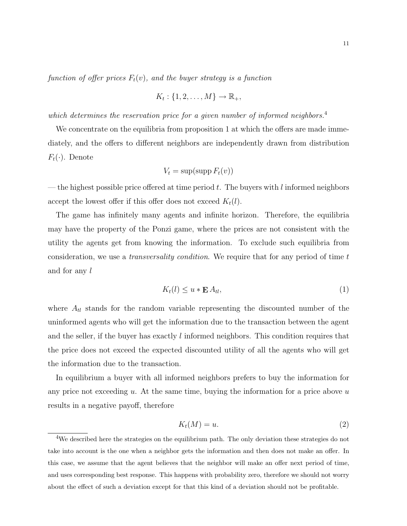function of offer prices  $F_t(v)$ , and the buyer strategy is a function

$$
K_t: \{1, 2, \ldots, M\} \to \mathbb{R}_+,
$$

which determines the reservation price for a given number of informed neighbors.<sup>4</sup>

We concentrate on the equilibria from proposition 1 at which the offers are made immediately, and the offers to different neighbors are independently drawn from distribution  $F_t(\cdot)$ . Denote

$$
V_t = \sup(\operatorname{supp} F_t(v))
$$

— the highest possible price offered at time period t. The buyers with l informed neighbors accept the lowest offer if this offer does not exceed  $K_t(l)$ .

The game has infinitely many agents and infinite horizon. Therefore, the equilibria may have the property of the Ponzi game, where the prices are not consistent with the utility the agents get from knowing the information. To exclude such equilibria from consideration, we use a *transversality condition*. We require that for any period of time  $t$ and for any l

$$
K_t(l) \le u * \mathbf{E} A_{tl},\tag{1}
$$

where  $A_{tl}$  stands for the random variable representing the discounted number of the uninformed agents who will get the information due to the transaction between the agent and the seller, if the buyer has exactly l informed neighbors. This condition requires that the price does not exceed the expected discounted utility of all the agents who will get the information due to the transaction.

In equilibrium a buyer with all informed neighbors prefers to buy the information for any price not exceeding u. At the same time, buying the information for a price above  $u$ results in a negative payoff, therefore

$$
K_t(M) = u.\t\t(2)
$$

<sup>&</sup>lt;sup>4</sup>We described here the strategies on the equilibrium path. The only deviation these strategies do not take into account is the one when a neighbor gets the information and then does not make an offer. In this case, we assume that the agent believes that the neighbor will make an offer next period of time, and uses corresponding best response. This happens with probability zero, therefore we should not worry about the effect of such a deviation except for that this kind of a deviation should not be profitable.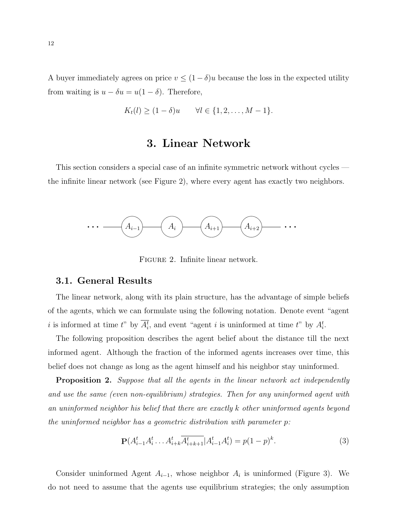A buyer immediately agrees on price  $v \leq (1 - \delta)u$  because the loss in the expected utility from waiting is  $u - \delta u = u(1 - \delta)$ . Therefore,

$$
K_t(l) \ge (1-\delta)u \qquad \forall l \in \{1,2,\ldots,M-1\}.
$$

# 3. Linear Network

This section considers a special case of an infinite symmetric network without cycles the infinite linear network (see Figure 2), where every agent has exactly two neighbors.



Figure 2. Infinite linear network.

### 3.1. General Results

The linear network, along with its plain structure, has the advantage of simple beliefs of the agents, which we can formulate using the following notation. Denote event "agent i is informed at time t" by  $\overline{A_i^t}$ , and event "agent i is uninformed at time t" by  $A_i^t$ .

The following proposition describes the agent belief about the distance till the next informed agent. Although the fraction of the informed agents increases over time, this belief does not change as long as the agent himself and his neighbor stay uninformed.

**Proposition 2.** Suppose that all the agents in the linear network act independently and use the same (even non-equilibrium) strategies. Then for any uninformed agent with an uninformed neighbor his belief that there are exactly k other uninformed agents beyond the uninformed neighbor has a geometric distribution with parameter p:

$$
\mathbf{P}(A_{i-1}^t A_i^t \dots A_{i+k}^t \overline{A_{i+k+1}^t} | A_{i-1}^t A_i^t) = p(1-p)^k.
$$
 (3)

Consider uninformed Agent  $A_{i-1}$ , whose neighbor  $A_i$  is uninformed (Figure 3). We do not need to assume that the agents use equilibrium strategies; the only assumption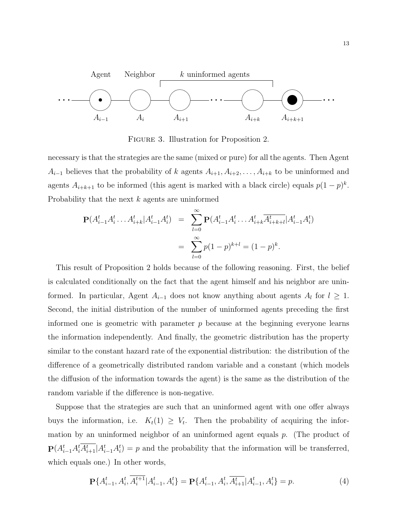

Figure 3. Illustration for Proposition 2.

necessary is that the strategies are the same (mixed or pure) for all the agents. Then Agent  $A_{i-1}$  believes that the probability of k agents  $A_{i+1}, A_{i+2}, \ldots, A_{i+k}$  to be uninformed and agents  $A_{i+k+1}$  to be informed (this agent is marked with a black circle) equals  $p(1-p)^k$ . Probability that the next k agents are uninformed

$$
\mathbf{P}(A_{i-1}^t A_i^t \dots A_{i+k}^t | A_{i-1}^t A_i^t) = \sum_{l=0}^{\infty} \mathbf{P}(A_{i-1}^t A_i^t \dots A_{i+k}^t \overline{A_{i+k+l}^t} | A_{i-1}^t A_i^t)
$$

$$
= \sum_{l=0}^{\infty} p(1-p)^{k+l} = (1-p)^k.
$$

This result of Proposition 2 holds because of the following reasoning. First, the belief is calculated conditionally on the fact that the agent himself and his neighbor are uninformed. In particular, Agent  $A_{i-1}$  does not know anything about agents  $A_l$  for  $l \geq 1$ . Second, the initial distribution of the number of uninformed agents preceding the first informed one is geometric with parameter  $p$  because at the beginning everyone learns the information independently. And finally, the geometric distribution has the property similar to the constant hazard rate of the exponential distribution: the distribution of the difference of a geometrically distributed random variable and a constant (which models the diffusion of the information towards the agent) is the same as the distribution of the random variable if the difference is non-negative.

Suppose that the strategies are such that an uninformed agent with one offer always buys the information, i.e.  $K_t(1) \geq V_t$ . Then the probability of acquiring the information by an uninformed neighbor of an uninformed agent equals  $p$ . (The product of  $\mathbf{P}(A_{i-1}^t A_i^t A_{i+1}^t | A_{i-1}^t A_i^t) = p$  and the probability that the information will be transferred, which equals one.) In other words,

$$
\mathbf{P}\{A_{i-1}^t, A_i^t, \overline{A_i^{t+1}} | A_{i-1}^t, A_i^t\} = \mathbf{P}\{A_{i-1}^t, A_i^t, \overline{A_{i+1}^t} | A_{i-1}^t, A_i^t\} = p.
$$
\n(4)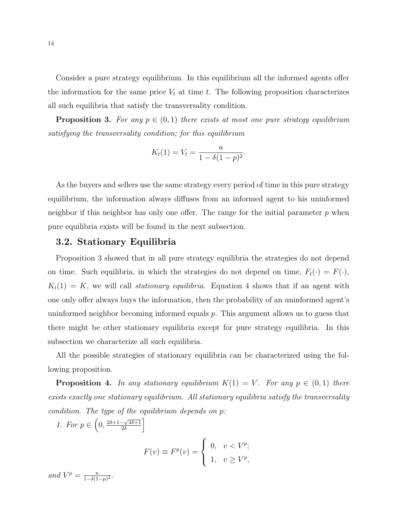Consider a pure strategy equilibrium. In this equilibrium all the informed agents offer the information for the same price  $V_t$  at time t. The following proposition characterizes all such equilibria that satisfy the transversality condition.

**Proposition 3.** For any  $p \in (0,1)$  there exists at most one pure strategy equilibrium satisfying the transversality condition; for this equilibrium

$$
K_t(1) = V_t = \frac{u}{1 - \delta(1 - p)^2}.
$$

As the buyers and sellers use the same strategy every period of time in this pure strategy equilibrium, the information always diffuses from an informed agent to his uninformed neighbor if this neighbor has only one offer. The range for the initial parameter  $p$  when pure equilibria exists will be found in the next subsection.

### 3.2. Stationary Equilibria

Proposition 3 showed that in all pure strategy equilibria the strategies do not depend on time. Such equilibria, in which the strategies do not depend on time,  $F_t(\cdot) = F(\cdot)$ ,  $K_t(1) = K$ , we will call stationary equilibria. Equation 4 shows that if an agent with one only offer always buys the information, then the probability of an uninformed agent's uninformed neighbor becoming informed equals p. This argument allows us to guess that there might be other stationary equilibria except for pure strategy equilibria. In this subsection we characterize all such equilibria.

All the possible strategies of stationary equilibria can be characterized using the following proposition.

**Proposition 4.** In any stationary equilibrium  $K(1) = V$ . For any  $p \in (0,1)$  there exists exactly one stationary equilibrium. All stationary equilibria satisfy the transversality condition. The type of the equilibrium depends on p:

1. For  $p \in \left(0, \frac{2\delta + 1 - \sqrt{4\delta + 1}}{2\delta}\right)$  $\frac{-\sqrt{4\delta+1}}{2\delta}$ 

$$
F(v) \equiv F^p(v) = \begin{cases} 0, & v < V^p; \\ 1, & v \ge V^p, \end{cases}
$$

and  $V^p = \frac{u}{1-\delta(1)}$  $\frac{u}{1-\delta(1-p)^2}$ .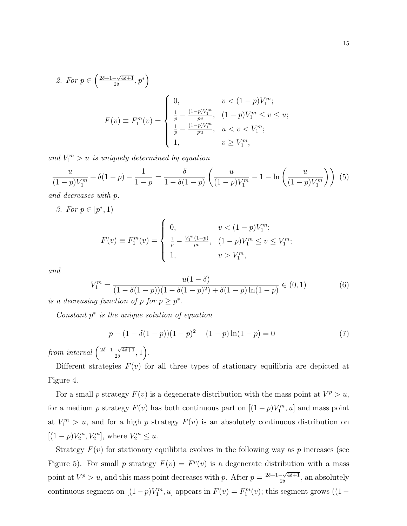2. For 
$$
p \in \left(\frac{2\delta + 1 - \sqrt{4\delta + 1}}{2\delta}, p^*\right)
$$
  
\n
$$
F(v) \equiv F_1^m(v) = \begin{cases} 0, & v < (1 - p)V_1^m; \\ \frac{1}{p} - \frac{(1 - p)V_1^m}{pv}, & (1 - p)V_1^m \le v \le u; \\ \frac{1}{p} - \frac{(1 - p)V_1^m}{pu}, & u < v < V_1^m; \\ 1, & v \ge V_1^m, \end{cases}
$$

and  $V_1^m > u$  is uniquely determined by equation

$$
\frac{u}{(1-p)V_1^m} + \delta(1-p) - \frac{1}{1-p} = \frac{\delta}{1-\delta(1-p)} \left( \frac{u}{(1-p)V_1^m} - 1 - \ln\left(\frac{u}{(1-p)V_1^m}\right) \right) (5)
$$

and decreases with p.

3. For  $p \in [p^*, 1)$ 

$$
F(v) \equiv F_1^m(v) = \begin{cases} 0, & v < (1-p)V_1^m; \\ \frac{1}{p} - \frac{V_1^m(1-p)}{pv}, & (1-p)V_1^m \le v \le V_1^m; \\ 1, & v > V_1^m, \end{cases}
$$

and

$$
V_1^m = \frac{u(1-\delta)}{(1-\delta(1-p))(1-\delta(1-p)^2)+\delta(1-p)\ln(1-p)} \in (0,1)
$$
 (6)

is a decreasing function of p for  $p \geq p^*$ .

Constant  $p^*$  is the unique solution of equation

$$
p - (1 - \delta(1 - p))(1 - p)^{2} + (1 - p)\ln(1 - p) = 0
$$
\n(7)

from interval  $\left(\frac{2\delta+1-\sqrt{4\delta+1}}{2\delta}\right)$  $\frac{-\sqrt{4\delta+1}}{2\delta},1\Big).$ 

Different strategies  $F(v)$  for all three types of stationary equilibria are depicted at Figure 4.

For a small p strategy  $F(v)$  is a degenerate distribution with the mass point at  $V^p > u$ , for a medium p strategy  $F(v)$  has both continuous part on  $[(1-p)V_1^m, u]$  and mass point at  $V_1^m > u$ , and for a high p strategy  $F(v)$  is an absolutely continuous distribution on  $[(1-p)V_2^m, V_2^m]$ , where  $V_2^m \leq u$ .

Strategy  $F(v)$  for stationary equilibria evolves in the following way as p increases (see Figure 5). For small p strategy  $F(v) = F<sup>p</sup>(v)$  is a degenerate distribution with a mass point at  $V^p > u$ , and this mass point decreases with p. After  $p = \frac{2\delta + 1 - \sqrt{4\delta + 1}}{2\delta}$  $\frac{-\sqrt{40+1}}{20}$ , an absolutely continuous segment on  $[(1-p)V_1^m, u]$  appears in  $F(v) = F_1^m(v)$ ; this segment grows  $((1-p)V_1^m, u]$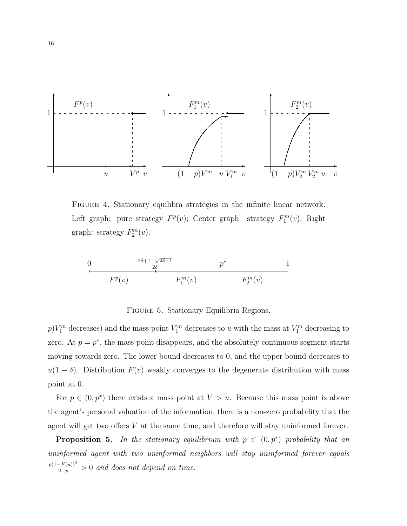

Figure 4. Stationary equilibra strategies in the infinite linear network. Left graph: pure strategy  $F^p(v)$ ; Center graph: strategy  $F_1^m(v)$ ; Right graph: strategy  $F_2^m(v)$ .

$$
\begin{array}{cccc}\n0 & \frac{2\delta+1-\sqrt{4\delta+1}}{2\delta} & p^* & 1\\
\hline\n & F^p(v) & F_1^m(v) & F_2^m(v)\n\end{array}
$$

FIGURE 5. Stationary Equilibria Regions.

 $p)V_1^m$  decreases) and the mass point  $V_1^m$  decreases to u with the mass at  $V_1^m$  decreasing to zero. At  $p = p^*$ , the mass point disappears, and the absolutely continuous segment starts moving towards zero. The lower bound decreases to 0, and the upper bound decreases to  $u(1 - \delta)$ . Distribution  $F(v)$  weakly converges to the degenerate distribution with mass point at 0.

For  $p \in (0, p^*)$  there exists a mass point at  $V > u$ . Because this mass point is above the agent's personal valuation of the information, there is a non-zero probability that the agent will get two offers V at the same time, and therefore will stay uninformed forever.

**Proposition 5.** In the stationary equilibrium with  $p \in (0, p^*)$  probability that an uninformed agent with two uninformed neighbors will stay uninformed forever equals  $p(1-F(u))^2$  $\frac{(-F(u))^2}{2-p} > 0$  and does not depend on time.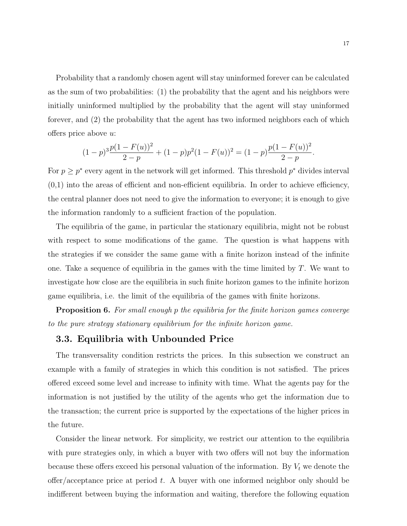Probability that a randomly chosen agent will stay uninformed forever can be calculated as the sum of two probabilities: (1) the probability that the agent and his neighbors were initially uninformed multiplied by the probability that the agent will stay uninformed forever, and (2) the probability that the agent has two informed neighbors each of which offers price above u:

$$
(1-p)^{3}\frac{p(1-F(u))^{2}}{2-p} + (1-p)p^{2}(1-F(u))^{2} = (1-p)\frac{p(1-F(u))^{2}}{2-p}.
$$

For  $p \geq p^*$  every agent in the network will get informed. This threshold  $p^*$  divides interval  $(0,1)$  into the areas of efficient and non-efficient equilibria. In order to achieve efficiency, the central planner does not need to give the information to everyone; it is enough to give the information randomly to a sufficient fraction of the population.

The equilibria of the game, in particular the stationary equilibria, might not be robust with respect to some modifications of the game. The question is what happens with the strategies if we consider the same game with a finite horizon instead of the infinite one. Take a sequence of equilibria in the games with the time limited by  $T$ . We want to investigate how close are the equilibria in such finite horizon games to the infinite horizon game equilibria, i.e. the limit of the equilibria of the games with finite horizons.

**Proposition 6.** For small enough p the equilibria for the finite horizon games converge to the pure strategy stationary equilibrium for the infinite horizon game.

## 3.3. Equilibria with Unbounded Price

The transversality condition restricts the prices. In this subsection we construct an example with a family of strategies in which this condition is not satisfied. The prices offered exceed some level and increase to infinity with time. What the agents pay for the information is not justified by the utility of the agents who get the information due to the transaction; the current price is supported by the expectations of the higher prices in the future.

Consider the linear network. For simplicity, we restrict our attention to the equilibria with pure strategies only, in which a buyer with two offers will not buy the information because these offers exceed his personal valuation of the information. By  $V_t$  we denote the offer/acceptance price at period  $t$ . A buyer with one informed neighbor only should be indifferent between buying the information and waiting, therefore the following equation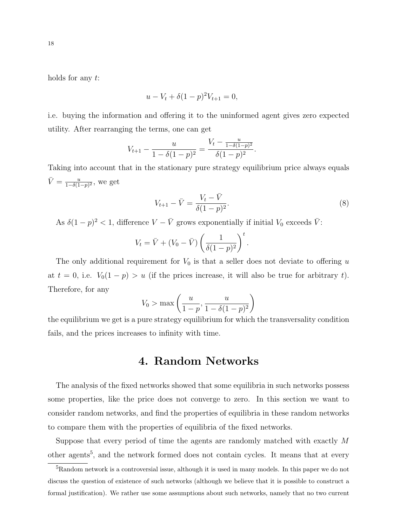holds for any t:

$$
u - V_t + \delta (1 - p)^2 V_{t+1} = 0,
$$

i.e. buying the information and offering it to the uninformed agent gives zero expected utility. After rearranging the terms, one can get

$$
V_{t+1} - \frac{u}{1 - \delta(1-p)^2} = \frac{V_t - \frac{u}{1 - \delta(1-p)^2}}{\delta(1-p)^2}.
$$

Taking into account that in the stationary pure strategy equilibrium price always equals  $\bar{V} = \frac{u}{1 - \delta(1)}$  $\frac{u}{1-\delta(1-p)^2}$ , we get

$$
V_{t+1} - \bar{V} = \frac{V_t - \bar{V}}{\delta(1 - p)^2}.
$$
\n(8)

As  $\delta(1-p)^2 < 1$ , difference  $V - \bar{V}$  grows exponentially if initial  $V_0$  exceeds  $\bar{V}$ :

$$
V_t = \overline{V} + (V_0 - \overline{V}) \left(\frac{1}{\delta(1-p)^2}\right)^t.
$$

The only additional requirement for  $V_0$  is that a seller does not deviate to offering u at  $t = 0$ , i.e.  $V_0(1 - p) > u$  (if the prices increase, it will also be true for arbitrary t). Therefore, for any

$$
V_0 > \max\left(\frac{u}{1-p}, \frac{u}{1-\delta(1-p)^2}\right)
$$

the equilibrium we get is a pure strategy equilibrium for which the transversality condition fails, and the prices increases to infinity with time.

# 4. Random Networks

The analysis of the fixed networks showed that some equilibria in such networks possess some properties, like the price does not converge to zero. In this section we want to consider random networks, and find the properties of equilibria in these random networks to compare them with the properties of equilibria of the fixed networks.

Suppose that every period of time the agents are randomly matched with exactly M other agents<sup>5</sup>, and the network formed does not contain cycles. It means that at every

<sup>&</sup>lt;sup>5</sup>Random network is a controversial issue, although it is used in many models. In this paper we do not discuss the question of existence of such networks (although we believe that it is possible to construct a formal justification). We rather use some assumptions about such networks, namely that no two current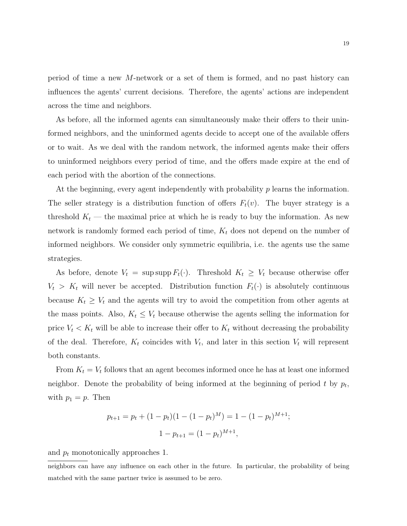period of time a new M-network or a set of them is formed, and no past history can influences the agents' current decisions. Therefore, the agents' actions are independent across the time and neighbors.

As before, all the informed agents can simultaneously make their offers to their uninformed neighbors, and the uninformed agents decide to accept one of the available offers or to wait. As we deal with the random network, the informed agents make their offers to uninformed neighbors every period of time, and the offers made expire at the end of each period with the abortion of the connections.

At the beginning, every agent independently with probability  $p$  learns the information. The seller strategy is a distribution function of offers  $F_t(v)$ . The buyer strategy is a threshold  $K_t$  — the maximal price at which he is ready to buy the information. As new network is randomly formed each period of time,  $K_t$  does not depend on the number of informed neighbors. We consider only symmetric equilibria, i.e. the agents use the same strategies.

As before, denote  $V_t = \sup \sup F_t(\cdot)$ . Threshold  $K_t \geq V_t$  because otherwise offer  $V_t > K_t$  will never be accepted. Distribution function  $F_t(\cdot)$  is absolutely continuous because  $K_t \geq V_t$  and the agents will try to avoid the competition from other agents at the mass points. Also,  $K_t \leq V_t$  because otherwise the agents selling the information for price  $V_t < K_t$  will be able to increase their offer to  $K_t$  without decreasing the probability of the deal. Therefore,  $K_t$  coincides with  $V_t$ , and later in this section  $V_t$  will represent both constants.

From  $K_t = V_t$  follows that an agent becomes informed once he has at least one informed neighbor. Denote the probability of being informed at the beginning of period t by  $p_t$ , with  $p_1 = p$ . Then

$$
p_{t+1} = p_t + (1 - p_t)(1 - (1 - p_t)^M) = 1 - (1 - p_t)^{M+1};
$$
  

$$
1 - p_{t+1} = (1 - p_t)^{M+1},
$$

and  $p_t$  monotonically approaches 1.

neighbors can have any influence on each other in the future. In particular, the probability of being matched with the same partner twice is assumed to be zero.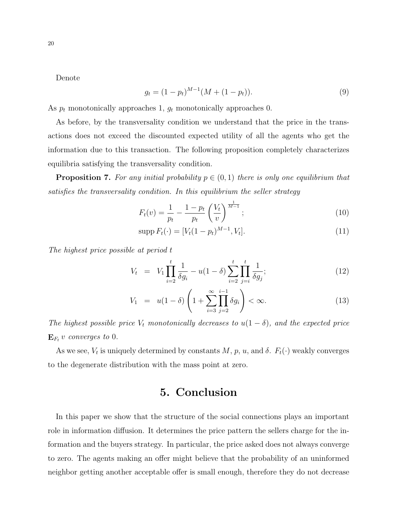Denote

$$
g_t = (1 - p_t)^{M-1} (M + (1 - p_t)).
$$
\n(9)

As  $p_t$  monotonically approaches 1,  $g_t$  monotonically approaches 0.

As before, by the transversality condition we understand that the price in the transactions does not exceed the discounted expected utility of all the agents who get the information due to this transaction. The following proposition completely characterizes equilibria satisfying the transversality condition.

**Proposition 7.** For any initial probability  $p \in (0,1)$  there is only one equilibrium that satisfies the transversality condition. In this equilibrium the seller strategy

$$
F_t(v) = \frac{1}{p_t} - \frac{1 - p_t}{p_t} \left(\frac{V_t}{v}\right)^{\frac{1}{M-1}};
$$
\n(10)

$$
supp F_t(\cdot) = [V_t(1 - p_t)^{M-1}, V_t].
$$
\n(11)

The highest price possible at period t

$$
V_t = V_1 \prod_{i=2}^t \frac{1}{\delta g_i} - u(1-\delta) \sum_{i=2}^t \prod_{j=i}^t \frac{1}{\delta g_j};
$$
\n(12)

$$
V_1 = u(1 - \delta) \left( 1 + \sum_{i=3}^{\infty} \prod_{j=2}^{i-1} \delta g_i \right) < \infty. \tag{13}
$$

The highest possible price  $V_t$  monotonically decreases to  $u(1 - \delta)$ , and the expected price  $\mathbf{E}_{F_t} v$  converges to 0.

As we see,  $V_t$  is uniquely determined by constants  $M$ ,  $p$ ,  $u$ , and  $\delta$ .  $F_t(\cdot)$  weakly converges to the degenerate distribution with the mass point at zero.

# 5. Conclusion

In this paper we show that the structure of the social connections plays an important role in information diffusion. It determines the price pattern the sellers charge for the information and the buyers strategy. In particular, the price asked does not always converge to zero. The agents making an offer might believe that the probability of an uninformed neighbor getting another acceptable offer is small enough, therefore they do not decrease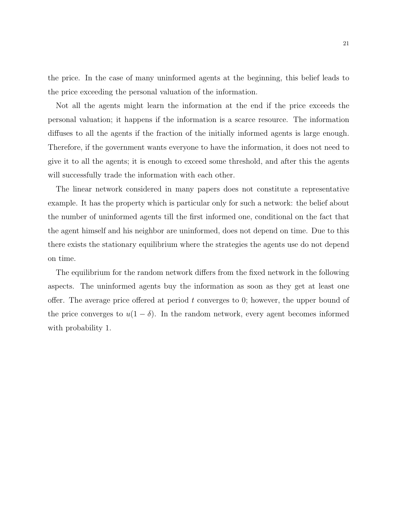the price. In the case of many uninformed agents at the beginning, this belief leads to the price exceeding the personal valuation of the information.

Not all the agents might learn the information at the end if the price exceeds the personal valuation; it happens if the information is a scarce resource. The information diffuses to all the agents if the fraction of the initially informed agents is large enough. Therefore, if the government wants everyone to have the information, it does not need to give it to all the agents; it is enough to exceed some threshold, and after this the agents will successfully trade the information with each other.

The linear network considered in many papers does not constitute a representative example. It has the property which is particular only for such a network: the belief about the number of uninformed agents till the first informed one, conditional on the fact that the agent himself and his neighbor are uninformed, does not depend on time. Due to this there exists the stationary equilibrium where the strategies the agents use do not depend on time.

The equilibrium for the random network differs from the fixed network in the following aspects. The uninformed agents buy the information as soon as they get at least one offer. The average price offered at period  $t$  converges to 0; however, the upper bound of the price converges to  $u(1 - \delta)$ . In the random network, every agent becomes informed with probability 1.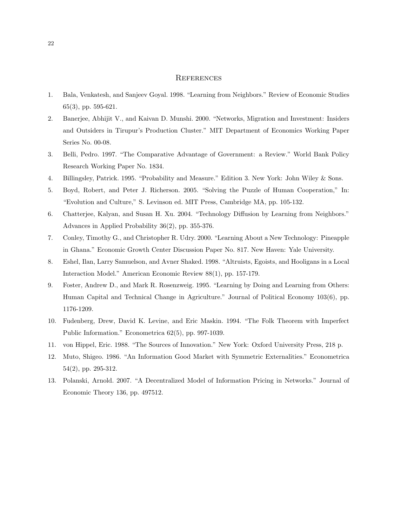#### **REFERENCES**

- 1. Bala, Venkatesh, and Sanjeev Goyal. 1998. "Learning from Neighbors." Review of Economic Studies 65(3), pp. 595-621.
- 2. Banerjee, Abhijit V., and Kaivan D. Munshi. 2000. "Networks, Migration and Investment: Insiders and Outsiders in Tirupur's Production Cluster." MIT Department of Economics Working Paper Series No. 00-08.
- 3. Belli, Pedro. 1997. "The Comparative Advantage of Government: a Review." World Bank Policy Research Working Paper No. 1834.
- 4. Billingsley, Patrick. 1995. "Probability and Measure." Edition 3. New York: John Wiley & Sons.
- 5. Boyd, Robert, and Peter J. Richerson. 2005. "Solving the Puzzle of Human Cooperation," In: "Evolution and Culture," S. Levinson ed. MIT Press, Cambridge MA, pp. 105-132.
- 6. Chatterjee, Kalyan, and Susan H. Xu. 2004. "Technology Diffusion by Learning from Neighbors." Advances in Applied Probability 36(2), pp. 355-376.
- 7. Conley, Timothy G., and Christopher R. Udry. 2000. "Learning About a New Technology: Pineapple in Ghana." Economic Growth Center Discussion Paper No. 817. New Haven: Yale University.
- 8. Eshel, Ilan, Larry Samuelson, and Avner Shaked. 1998. "Altruists, Egoists, and Hooligans in a Local Interaction Model." American Economic Review 88(1), pp. 157-179.
- 9. Foster, Andrew D., and Mark R. Rosenzweig. 1995. "Learning by Doing and Learning from Others: Human Capital and Technical Change in Agriculture." Journal of Political Economy 103(6), pp. 1176-1209.
- 10. Fudenberg, Drew, David K. Levine, and Eric Maskin. 1994. "The Folk Theorem with Imperfect Public Information." Econometrica 62(5), pp. 997-1039.
- 11. von Hippel, Eric. 1988. "The Sources of Innovation." New York: Oxford University Press, 218 p.
- 12. Muto, Shigeo. 1986. "An Information Good Market with Symmetric Externalities." Econometrica 54(2), pp. 295-312.
- 13. Polanski, Arnold. 2007. "A Decentralized Model of Information Pricing in Networks." Journal of Economic Theory 136, pp. 497512.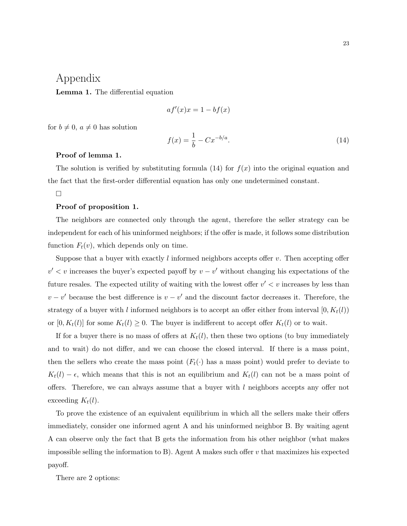# Appendix

Lemma 1. The differential equation

$$
af'(x)x = 1 - bf(x)
$$

for  $b \neq 0$ ,  $a \neq 0$  has solution

$$
f(x) = \frac{1}{b} - C x^{-b/a}.
$$
 (14)

#### Proof of lemma 1.

The solution is verified by substituting formula  $(14)$  for  $f(x)$  into the original equation and the fact that the first-order differential equation has only one undetermined constant.

#### $\Box$

#### Proof of proposition 1.

The neighbors are connected only through the agent, therefore the seller strategy can be independent for each of his uninformed neighbors; if the offer is made, it follows some distribution function  $F_t(v)$ , which depends only on time.

Suppose that a buyer with exactly  $l$  informed neighbors accepts offer  $v$ . Then accepting offer  $v' < v$  increases the buyer's expected payoff by  $v - v'$  without changing his expectations of the future resales. The expected utility of waiting with the lowest offer  $v' < v$  increases by less than  $v - v'$  because the best difference is  $v - v'$  and the discount factor decreases it. Therefore, the strategy of a buyer with l informed neighbors is to accept an offer either from interval  $[0, K_t(l))$ or  $[0, K_t(l)]$  for some  $K_t(l) \geq 0$ . The buyer is indifferent to accept offer  $K_t(l)$  or to wait.

If for a buyer there is no mass of offers at  $K_t(l)$ , then these two options (to buy immediately and to wait) do not differ, and we can choose the closed interval. If there is a mass point, then the sellers who create the mass point  $(F_t(\cdot))$  has a mass point) would prefer to deviate to  $K_t(l) - \epsilon$ , which means that this is not an equilibrium and  $K_t(l)$  can not be a mass point of offers. Therefore, we can always assume that a buyer with  $l$  neighbors accepts any offer not exceeding  $K_t(l)$ .

To prove the existence of an equivalent equilibrium in which all the sellers make their offers immediately, consider one informed agent A and his uninformed neighbor B. By waiting agent A can observe only the fact that B gets the information from his other neighbor (what makes impossible selling the information to B). Agent A makes such offer  $v$  that maximizes his expected payoff.

There are 2 options: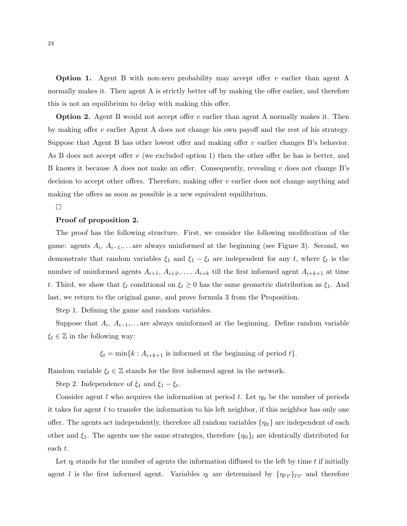**Option 1.** Agent B with non-zero probability may accept offer v earlier than agent A normally makes it. Then agent A is strictly better off by making the offer earlier, and therefore this is not an equilibrium to delay with making this offer.

Option 2. Agent B would not accept offer v earlier than agent A normally makes it. Then by making offer  $v$  earlier Agent A does not change his own payoff and the rest of his strategy. Suppose that Agent B has other lowest offer and making offer v earlier changes B's behavior. As B does not accept offer v (we excluded option 1) then the other offer he has is better, and B knows it because A does not make an offer. Consequently, revealing v does not change B's decision to accept other offers. Therefore, making offer  $v$  earlier does not change anything and making the offers as soon as possible is a new equivalent equilibrium.

#### $\Box$

#### Proof of proposition 2.

The proof has the following structure. First, we consider the following modification of the game: agents  $A_i$ ,  $A_{i-1}$ ,... are always uninformed at the beginning (see Figure 3). Second, we demonstrate that random variables  $\xi_1$  and  $\xi_1 - \xi_t$  are independent for any t, where  $\xi_t$  is the number of uninformed agents  $A_{i+1}, A_{i+2}, \ldots, A_{i+k}$  till the first informed agent  $A_{i+k+1}$  at time t. Third, we show that  $\xi_t$  conditional on  $\xi_t \geq 0$  has the same geometric distribution as  $\xi_1$ . And last, we return to the original game, and prove formula 3 from the Proposition.

Step 1. Defining the game and random variables.

Suppose that  $A_i$ ,  $A_{i-1}$ ,... are always uninformed at the beginning. Define random variable  $\xi_t \in \mathbb{Z}$  in the following way:

 $\xi_t = \min\{k : A_{i+k+1}$  is informed at the beginning of period  $t\}.$ 

Random variable  $\xi_t \in \mathbb{Z}$  stands for the first informed agent in the network.

Step 2. Independence of  $\xi_1$  and  $\xi_1 - \xi_t$ .

Consider agent l who acquires the information at period t. Let  $\eta_{lt}$  be the number of periods it takes for agent  $l$  to transfer the information to his left neighbor, if this neighbor has only one offer. The agents act independently, therefore all random variables  $\{\eta_{lt}\}\$ are independent of each other and  $\xi_1$ . The agents use the same strategies, therefore  $\{\eta_{lt}\}\$ l are identically distributed for each t.

Let  $\eta_l$  stands for the number of agents the information diffused to the left by time t if initially agent l is the first informed agent. Variables  $\eta_l$  are determined by  $\{\eta_{l'l'}\}_{l'l'}$  and therefore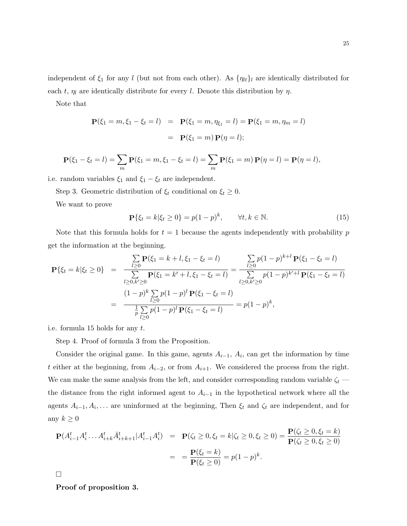Note that

$$
\mathbf{P}(\xi_1 = m, \xi_1 - \xi_t = l) = \mathbf{P}(\xi_1 = m, \eta_{\xi_1} = l) = \mathbf{P}(\xi_1 = m, \eta_m = l)
$$

$$
= \mathbf{P}(\xi_1 = m) \mathbf{P}(\eta = l);
$$

$$
\mathbf{P}(\xi_1 - \xi_t = l) = \sum_m \mathbf{P}(\xi_1 = m, \xi_1 - \xi_t = l) = \sum_m \mathbf{P}(\xi_1 = m) \mathbf{P}(\eta = l) = \mathbf{P}(\eta = l),
$$

i.e. random variables  $\xi_1$  and  $\xi_1 - \xi_t$  are independent.

Step 3. Geometric distribution of  $\xi_t$  conditional on  $\xi_t \geq 0$ .

We want to prove

$$
\mathbf{P}\{\xi_t = k|\xi_t \ge 0\} = p(1-p)^k, \qquad \forall t, k \in \mathbb{N}.
$$
 (15)

Note that this formula holds for  $t = 1$  because the agents independently with probability p get the information at the beginning.

$$
\mathbf{P}\{\xi_t = k | \xi_t \ge 0\} = \frac{\sum\limits_{l \ge 0} \mathbf{P}(\xi_1 = k + l, \xi_1 - \xi_t = l)}{\sum\limits_{l \ge 0, k' \ge 0} \mathbf{P}(\xi_1 = k' + l, \xi_1 - \xi_t = l)} = \frac{\sum\limits_{l \ge 0} p(1 - p)^{k+l} \mathbf{P}(\xi_1 - \xi_t = l)}{\sum\limits_{l \ge 0, k' \ge 0} p(1 - p)^{k' + l} \mathbf{P}(\xi_1 - \xi_t = l)}
$$

$$
= \frac{(1 - p)^k \sum\limits_{l \ge 0} p(1 - p)^l \mathbf{P}(\xi_1 - \xi_t = l)}{\frac{1}{p} \sum\limits_{l \ge 0} p(1 - p)^l \mathbf{P}(\xi_1 - \xi_t = l)} = p(1 - p)^k,
$$

i.e. formula 15 holds for any t.

Step 4. Proof of formula 3 from the Proposition.

Consider the original game. In this game, agents  $A_{i-1}$ ,  $A_i$ , can get the information by time t either at the beginning, from  $A_{i-2}$ , or from  $A_{i+1}$ . We considered the process from the right. We can make the same analysis from the left, and consider corresponding random variable  $\zeta_t$  the distance from the right informed agent to  $A_{i-1}$  in the hypothetical network where all the agents  $A_{i-1}, A_i, \ldots$  are uninformed at the beginning, Then  $\xi_t$  and  $\zeta_t$  are independent, and for any  $k \geq 0$ 

$$
\mathbf{P}(A_{i-1}^t A_i^t \dots A_{i+k}^t \bar{A}_{i+k+1}^t | A_{i-1}^t A_i^t) = \mathbf{P}(\zeta_t \ge 0, \xi_t = k | \zeta_t \ge 0, \xi_t \ge 0) = \frac{\mathbf{P}(\zeta_t \ge 0, \xi_t = k)}{\mathbf{P}(\zeta_t \ge 0, \xi_t \ge 0)} = \frac{\mathbf{P}(\xi_t = k)}{\mathbf{P}(\xi_t \ge 0)} = p(1-p)^k.
$$

 $\Box$ 

Proof of proposition 3.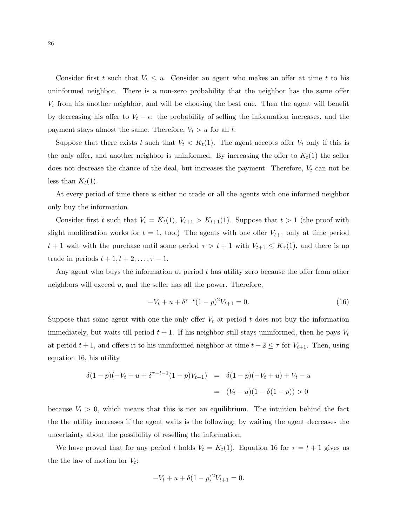Consider first t such that  $V_t \leq u$ . Consider an agent who makes an offer at time t to his uninformed neighbor. There is a non-zero probability that the neighbor has the same offer  $V_t$  from his another neighbor, and will be choosing the best one. Then the agent will benefit by decreasing his offer to  $V_t - \epsilon$ : the probability of selling the information increases, and the payment stays almost the same. Therefore,  $V_t > u$  for all t.

Suppose that there exists t such that  $V_t < K_t(1)$ . The agent accepts offer  $V_t$  only if this is the only offer, and another neighbor is uninformed. By increasing the offer to  $K_t(1)$  the seller does not decrease the chance of the deal, but increases the payment. Therefore,  $V_t$  can not be less than  $K_t(1)$ .

At every period of time there is either no trade or all the agents with one informed neighbor only buy the information.

Consider first t such that  $V_t = K_t(1)$ ,  $V_{t+1} > K_{t+1}(1)$ . Suppose that  $t > 1$  (the proof with slight modification works for  $t = 1$ , too.) The agents with one offer  $V_{t+1}$  only at time period  $t+1$  wait with the purchase until some period  $\tau > t+1$  with  $V_{t+1} \leq K_{\tau}(1)$ , and there is no trade in periods  $t + 1, t + 2, \ldots, \tau - 1$ .

Any agent who buys the information at period  $t$  has utility zero because the offer from other neighbors will exceed  $u$ , and the seller has all the power. Therefore,

$$
-V_t + u + \delta^{\tau - t} (1 - p)^2 V_{t+1} = 0.
$$
 (16)

Suppose that some agent with one the only offer  $V_t$  at period t does not buy the information immediately, but waits till period  $t + 1$ . If his neighbor still stays uninformed, then he pays  $V_t$ at period  $t + 1$ , and offers it to his uninformed neighbor at time  $t + 2 \leq \tau$  for  $V_{t+1}$ . Then, using equation 16, his utility

$$
\delta(1-p)(-V_t + u + \delta^{\tau-t-1}(1-p)V_{t+1}) = \delta(1-p)(-V_t + u) + V_t - u
$$
  
= 
$$
(V_t - u)(1 - \delta(1-p)) > 0
$$

because  $V_t > 0$ , which means that this is not an equilibrium. The intuition behind the fact the the utility increases if the agent waits is the following: by waiting the agent decreases the uncertainty about the possibility of reselling the information.

We have proved that for any period t holds  $V_t = K_t(1)$ . Equation 16 for  $\tau = t + 1$  gives us the the law of motion for  $V_t$ :

$$
-V_t + u + \delta(1-p)^2 V_{t+1} = 0.
$$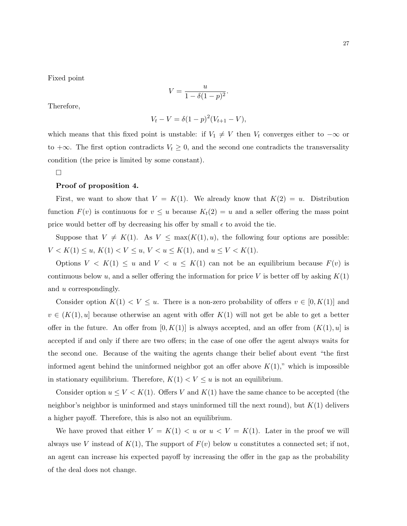Fixed point

$$
V = \frac{u}{1 - \delta(1 - p)^2}.
$$

Therefore,

$$
V_t - V = \delta (1 - p)^2 (V_{t+1} - V),
$$

which means that this fixed point is unstable: if  $V_1 \neq V$  then  $V_t$  converges either to  $-\infty$  or to  $+\infty$ . The first option contradicts  $V_t \geq 0$ , and the second one contradicts the transversality condition (the price is limited by some constant).

 $\Box$ 

#### Proof of proposition 4.

First, we want to show that  $V = K(1)$ . We already know that  $K(2) = u$ . Distribution function  $F(v)$  is continuous for  $v \leq u$  because  $K_t(2) = u$  and a seller offering the mass point price would better off by decreasing his offer by small  $\epsilon$  to avoid the tie.

Suppose that  $V \neq K(1)$ . As  $V \leq \max(K(1), u)$ , the following four options are possible:  $V < K(1) \le u, K(1) < V \le u, V < u \le K(1)$ , and  $u \le V < K(1)$ .

Options  $V < K(1) \leq u$  and  $V < u \leq K(1)$  can not be an equilibrium because  $F(v)$  is continuous below u, and a seller offering the information for price V is better off by asking  $K(1)$ and u correspondingly.

Consider option  $K(1) < V \leq u$ . There is a non-zero probability of offers  $v \in [0, K(1)]$  and  $v \in (K(1), u]$  because otherwise an agent with offer  $K(1)$  will not get be able to get a better offer in the future. An offer from  $[0, K(1)]$  is always accepted, and an offer from  $(K(1), u]$  is accepted if and only if there are two offers; in the case of one offer the agent always waits for the second one. Because of the waiting the agents change their belief about event "the first informed agent behind the uninformed neighbor got an offer above  $K(1)$ ," which is impossible in stationary equilibrium. Therefore,  $K(1) < V \le u$  is not an equilibrium.

Consider option  $u \le V \le K(1)$ . Offers V and  $K(1)$  have the same chance to be accepted (the neighbor's neighbor is uninformed and stays uninformed till the next round), but  $K(1)$  delivers a higher payoff. Therefore, this is also not an equilibrium.

We have proved that either  $V = K(1) < u$  or  $u < V = K(1)$ . Later in the proof we will always use V instead of  $K(1)$ , The support of  $F(v)$  below u constitutes a connected set; if not, an agent can increase his expected payoff by increasing the offer in the gap as the probability of the deal does not change.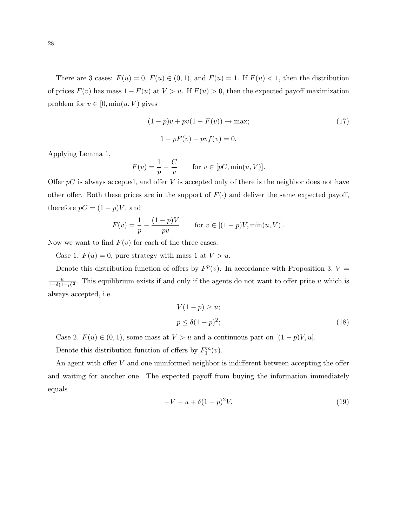There are 3 cases:  $F(u) = 0$ ,  $F(u) \in (0, 1)$ , and  $F(u) = 1$ . If  $F(u) < 1$ , then the distribution of prices  $F(v)$  has mass  $1 - F(u)$  at  $V > u$ . If  $F(u) > 0$ , then the expected payoff maximization problem for  $v \in [0, \min(u, V)]$  gives

$$
(1 - p)v + pv(1 - F(v)) \to \max;
$$
  
 
$$
1 - pF(v) - pvf(v) = 0.
$$
 (17)

Applying Lemma 1,

$$
F(v) = \frac{1}{p} - \frac{C}{v}
$$
 for  $v \in [pC, \min(u, V)].$ 

Offer  $pC$  is always accepted, and offer V is accepted only of there is the neighbor does not have other offer. Both these prices are in the support of  $F(\cdot)$  and deliver the same expected payoff, therefore  $pC = (1 - p)V$ , and

$$
F(v) = \frac{1}{p} - \frac{(1-p)V}{pv} \quad \text{for } v \in [(1-p)V, \min(u, V)].
$$

Now we want to find  $F(v)$  for each of the three cases.

Case 1.  $F(u) = 0$ , pure strategy with mass 1 at  $V > u$ .

Denote this distribution function of offers by  $F<sup>p</sup>(v)$ . In accordance with Proposition 3,  $V =$  $\overline{u}$  $\frac{u}{1-\delta(1-p)^2}$ . This equilibrium exists if and only if the agents do not want to offer price u which is always accepted, i.e.

$$
V(1-p) \ge u;
$$
  
\n
$$
p \le \delta(1-p)^2;
$$
\n(18)

Case 2.  $F(u) \in (0, 1)$ , some mass at  $V > u$  and a continuous part on  $[(1 - p)V, u]$ .

Denote this distribution function of offers by  $F_1^m(v)$ .

An agent with offer V and one uninformed neighbor is indifferent between accepting the offer and waiting for another one. The expected payoff from buying the information immediately equals

$$
-V + u + \delta (1 - p)^2 V.
$$
 (19)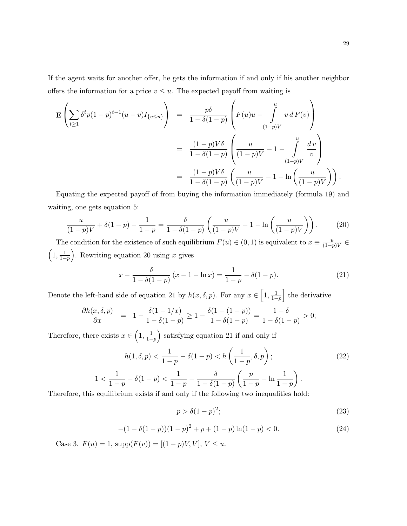If the agent waits for another offer, he gets the information if and only if his another neighbor offers the information for a price  $v \leq u$ . The expected payoff from waiting is

$$
\mathbf{E}\left(\sum_{t\geq 1} \delta^t p (1-p)^{t-1} (u-v) I_{\{v\leq u\}}\right) = \frac{p\delta}{1-\delta(1-p)} \left(F(u)u - \int_{(1-p)V}^u v dF(v)\right)
$$

$$
= \frac{(1-p)V\delta}{1-\delta(1-p)} \left(\frac{u}{(1-p)V} - 1 - \int_{(1-p)V}^u \frac{dv}{v}\right)
$$

$$
= \frac{(1-p)V\delta}{1-\delta(1-p)} \left(\frac{u}{(1-p)V} - 1 - \ln\left(\frac{u}{(1-p)V}\right)\right).
$$

Equating the expected payoff of from buying the information immediately (formula 19) and waiting, one gets equation 5:

$$
\frac{u}{(1-p)V} + \delta(1-p) - \frac{1}{1-p} = \frac{\delta}{1-\delta(1-p)} \left( \frac{u}{(1-p)V} - 1 - \ln\left(\frac{u}{(1-p)V}\right) \right). \tag{20}
$$

The condition for the existence of such equilibrium  $F(u) \in (0,1)$  is equivalent to  $x \equiv \frac{u}{(1-t)^n}$  $\frac{a}{(1-p)V}$  ∈  $\left(1, \frac{1}{1} \right)$  $1-p$ ). Rewriting equation 20 using  $x$  gives

$$
x - \frac{\delta}{1 - \delta(1 - p)} (x - 1 - \ln x) = \frac{1}{1 - p} - \delta(1 - p).
$$
 (21)

Denote the left-hand side of equation 21 by  $h(x, \delta, p)$ . For any  $x \in \left[1, \frac{1}{1 - \delta}\right]$  $1-p$ I the derivative

$$
\frac{\partial h(x,\delta,p)}{\partial x} = 1 - \frac{\delta(1-1/x)}{1-\delta(1-p)} \ge 1 - \frac{\delta(1-(1-p))}{1-\delta(1-p)} = \frac{1-\delta}{1-\delta(1-p)} > 0;
$$

Therefore, there exists  $x \in \left(1, \frac{1}{1-\epsilon}\right)$  $1-p$ satisfying equation 21 if and only if

$$
h(1, \delta, p) < \frac{1}{1 - p} - \delta(1 - p) < h\left(\frac{1}{1 - p}, \delta, p\right); \tag{22}
$$
\n
$$
1 < \frac{1}{1 - p} - \delta(1 - p) < \frac{1}{1 - p} - \frac{\delta}{1 - \delta(1 - p)}\left(\frac{p}{1 - p} - \ln\frac{1}{1 - p}\right).
$$

Therefore, this equilibrium exists if and only if the following two inequalities hold:

$$
p > \delta(1-p)^2; \tag{23}
$$

$$
-(1 - \delta(1 - p))(1 - p)^2 + p + (1 - p)\ln(1 - p) < 0. \tag{24}
$$

Case 3.  $F(u) = 1$ , supp $(F(v)) = [(1 - p)V, V], V \le u$ .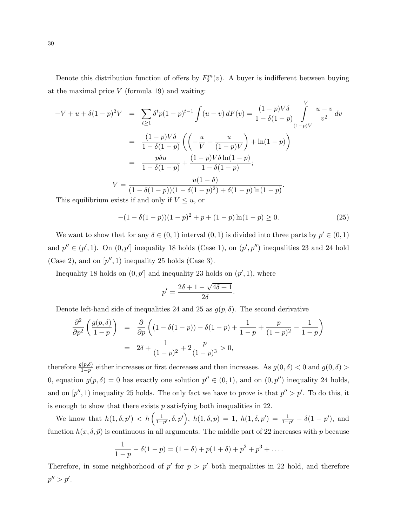Denote this distribution function of offers by  $F_2^m(v)$ . A buyer is indifferent between buying at the maximal price  $V$  (formula 19) and waiting:

$$
-V + u + \delta(1-p)^2 V = \sum_{t \ge 1} \delta^t p (1-p)^{t-1} \int (u-v) dF(v) = \frac{(1-p)V\delta}{1-\delta(1-p)} \int_{(1-p)V}^{V} \frac{u-v}{v^2} dv
$$
  

$$
= \frac{(1-p)V\delta}{1-\delta(1-p)} \left( \left( -\frac{u}{V} + \frac{u}{(1-p)V} \right) + \ln(1-p) \right)
$$
  

$$
= \frac{p\delta u}{1-\delta(1-p)} + \frac{(1-p)V\delta \ln(1-p)}{1-\delta(1-p)};
$$
  

$$
V = \frac{u(1-\delta)}{(1-\delta(1-p))(1-\delta(1-p)^2) + \delta(1-p)\ln(1-p)}.
$$
This equilibrium exists if and only if  $V \le u$ , or

$$
-(1 - \delta(1 - p))(1 - p)^2 + p + (1 - p)\ln(1 - p) \ge 0.
$$
\n(25)

We want to show that for any  $\delta \in (0,1)$  interval  $(0,1)$  is divided into three parts by  $p' \in (0,1)$ and  $p'' \in (p', 1)$ . On  $(0, p')$  inequality 18 holds (Case 1), on  $(p', p'')$  inequalities 23 and 24 hold (Case 2), and on  $[p'', 1)$  inequality 25 holds (Case 3).

Inequality 18 holds on  $(0, p')$  and inequality 23 holds on  $(p', 1)$ , where

$$
p' = \frac{2\delta + 1 - \sqrt{4\delta + 1}}{2\delta}.
$$

Denote left-hand side of inequalities 24 and 25 as  $g(p, \delta)$ . The second derivative

$$
\frac{\partial^2}{\partial p^2} \left( \frac{g(p,\delta)}{1-p} \right) = \frac{\partial}{\partial p} \left( (1-\delta(1-p)) - \delta(1-p) + \frac{1}{1-p} + \frac{p}{(1-p)^2} - \frac{1}{1-p} \right)
$$

$$
= 2\delta + \frac{1}{(1-p)^2} + 2\frac{p}{(1-p)^3} > 0,
$$

therefore  $\frac{g(p,\delta)}{1-p}$  either increases or first decreases and then increases. As  $g(0,\delta) < 0$  and  $g(0,\delta) >$ 0, equation  $g(p, \delta) = 0$  has exactly one solution  $p'' \in (0, 1)$ , and on  $(0, p'')$  inequality 24 holds, and on  $[p'', 1)$  inequality 25 holds. The only fact we have to prove is that  $p'' > p'$ . To do this, it is enough to show that there exists  $p$  satisfying both inequalities in 22.

We know that  $h(1, \delta, p') < h\left(\frac{1}{1 - \delta}\right)$  $\frac{1}{1-p'}, \delta, p'$ ,  $h(1, \delta, p) = 1$ ,  $h(1, \delta, p') = \frac{1}{1-p'} - \delta(1-p')$ , and function  $h(x, \delta, \tilde{p})$  is continuous in all arguments. The middle part of 22 increases with p because

$$
\frac{1}{1-p} - \delta(1-p) = (1-\delta) + p(1+\delta) + p^2 + p^3 + \dots
$$

Therefore, in some neighborhood of  $p'$  for  $p > p'$  both inequalities in 22 hold, and therefore  $p'' > p'.$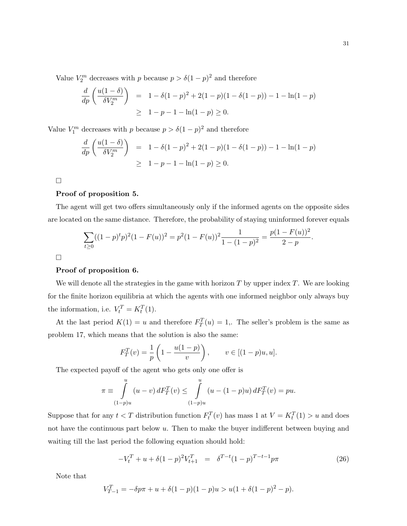Value  $V_2^m$  decreases with p because  $p > \delta(1-p)^2$  and therefore

$$
\frac{d}{dp} \left( \frac{u(1-\delta)}{\delta V_2^m} \right) = 1 - \delta(1-p)^2 + 2(1-p)(1-\delta(1-p)) - 1 - \ln(1-p)
$$
  
\n
$$
\geq 1 - p - 1 - \ln(1-p) \geq 0.
$$

Value  $V_1^m$  decreases with p because  $p > \delta(1-p)^2$  and therefore

$$
\frac{d}{dp} \left( \frac{u(1-\delta)}{\delta V_2^m} \right) = 1 - \delta(1-p)^2 + 2(1-p)(1-\delta(1-p)) - 1 - \ln(1-p)
$$
  
\n
$$
\geq 1 - p - 1 - \ln(1-p) \geq 0.
$$

 $\Box$ 

### Proof of proposition 5.

The agent will get two offers simultaneously only if the informed agents on the opposite sides are located on the same distance. Therefore, the probability of staying uninformed forever equals

$$
\sum_{t\geq 0} ((1-p)^t p)^2 (1 - F(u))^2 = p^2 (1 - F(u))^2 \frac{1}{1 - (1-p)^2} = \frac{p(1 - F(u))^2}{2 - p}
$$

 $\Box$ 

### Proof of proposition 6.

We will denote all the strategies in the game with horizon  $T$  by upper index  $T$ . We are looking for the finite horizon equilibria at which the agents with one informed neighbor only always buy the information, i.e.  $V_t^T = K_t^T(1)$ .

At the last period  $K(1) = u$  and therefore  $F_T^T(u) = 1$ . The seller's problem is the same as problem 17, which means that the solution is also the same:

$$
F_T^T(v) = \frac{1}{p} \left( 1 - \frac{u(1-p)}{v} \right), \qquad v \in [(1-p)u, u].
$$

The expected payoff of the agent who gets only one offer is

$$
\pi \equiv \int_{(1-p)u}^{u} (u-v) dF_T^T(v) \le \int_{(1-p)u}^{u} (u - (1-p)u) dF_T^T(v) = pu.
$$

Suppose that for any  $t < T$  distribution function  $F_t^T(v)$  has mass 1 at  $V = K_t^T(1) > u$  and does not have the continuous part below u. Then to make the buyer indifferent between buying and waiting till the last period the following equation should hold:

$$
-V_t^T + u + \delta(1-p)^2 V_{t+1}^T = \delta^{T-t} (1-p)^{T-t-1} p \pi \tag{26}
$$

Note that

$$
V_{T-1}^{T} = -\delta p\pi + u + \delta(1-p)(1-p)u > u(1+\delta(1-p)^{2}-p).
$$

.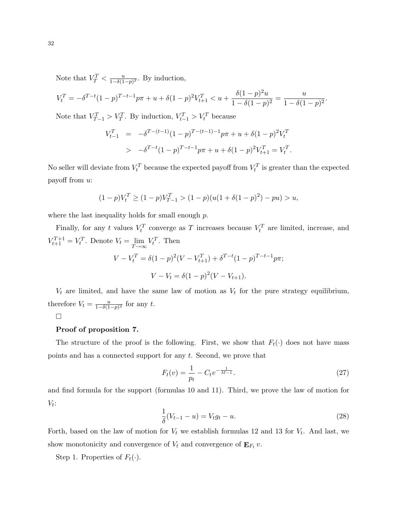Note that  $V_T^T < \frac{u}{1-\delta(1)}$  $\frac{u}{1-\delta(1-p)^2}$ . By induction,

$$
V_t^T = -\delta^{T-t}(1-p)^{T-t-1}p\pi + u + \delta(1-p)^2V_{t+1}^T < u + \frac{\delta(1-p)^2u}{1-\delta(1-p)^2} = \frac{u}{1-\delta(1-p)^2}.
$$

Note that  $V_{T-1}^T > V_T^T$ . By induction,  $V_{t-1}^T > V_t^T$  because

$$
V_{t-1}^T = -\delta^{T-(t-1)}(1-p)^{T-(t-1)-1}p\pi + u + \delta(1-p)^2 V_t^T
$$
  
> 
$$
-\delta^{T-t}(1-p)^{T-t-1}p\pi + u + \delta(1-p)^2 V_{t+1}^T = V_t^T.
$$

No seller will deviate from  $V_t^T$  because the expected payoff from  $V_t^T$  is greater than the expected payoff from u:

$$
(1-p)V_t^T \ge (1-p)V_{T-1}^T > (1-p)(u(1+\delta(1-p)^2) - pu) > u,
$$

where the last inequality holds for small enough  $p$ .

Finally, for any t values  $V_t^T$  converge as T increases because  $V_t^T$  are limited, increase, and  $V_{t+1}^{T+1} = V_t^T$ . Denote  $V_t = \lim_{T \to \infty}$  $T\rightarrow\infty$  $V_t^T$ . Then

$$
V - V_t^T = \delta(1 - p)^2 (V - V_{t+1}^T) + \delta^{T-t} (1 - p)^{T-t-1} p \pi;
$$
  

$$
V - V_t = \delta(1 - p)^2 (V - V_{t+1}).
$$

 $V_t$  are limited, and have the same law of motion as  $V_t$  for the pure strategy equilibrium, therefore  $V_t = \frac{u}{1-\delta(1)}$  $\frac{u}{1-\delta(1-p)^2}$  for any t.

 $\Box$ 

### Proof of proposition 7.

The structure of the proof is the following. First, we show that  $F_t(\cdot)$  does not have mass points and has a connected support for any t. Second, we prove that

$$
F_t(v) = \frac{1}{p_t} - C_t v^{-\frac{1}{M-1}}.
$$
\n(27)

and find formula for the support (formulas 10 and 11). Third, we prove the law of motion for  $V_t$ :

$$
\frac{1}{\delta}(V_{t-1} - u) = V_t g_t - u.
$$
\n(28)

Forth, based on the law of motion for  $V_t$  we establish formulas 12 and 13 for  $V_t$ . And last, we show monotonicity and convergence of  $V_t$  and convergence of  $\mathbf{E}_{F_t} v$ .

Step 1. Properties of  $F_t(\cdot)$ .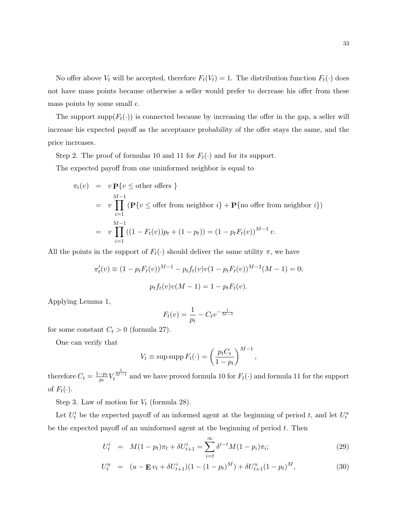No offer above  $V_t$  will be accepted, therefore  $F_t(V_t) = 1$ . The distribution function  $F_t(\cdot)$  does not have mass points because otherwise a seller would prefer to decrease his offer from these mass points by some small  $\epsilon$ .

The support supp $(F_t(\cdot))$  is connected because by increasing the offer in the gap, a seller will increase his expected payoff as the acceptance probability of the offer stays the same, and the price increases.

Step 2. The proof of formulas 10 and 11 for  $F_t(\cdot)$  and for its support.

The expected payoff from one uninformed neighbor is equal to

$$
\pi_t(v) = v \mathbf{P}\{v \le \text{other offers }\}
$$
  
=  $v \prod_{i=1}^{M-1} (\mathbf{P}\{v \le \text{offer from neighbor } i\} + \mathbf{P}\{\text{no offer from neighbor } i\})$   
=  $v \prod_{i=1}^{M-1} ((1 - F_t(v))p_t + (1 - p_t)) = (1 - p_t F_t(v))^{M-1} v.$ 

All the points in the support of  $F_t(\cdot)$  should deliver the same utility  $\pi$ , we have

$$
\pi'_t(v) \equiv (1 - p_t F_t(v))^{M-1} - p_t f_t(v)v(1 - p_t F_t(v))^{M-2}(M - 1) = 0;
$$
  

$$
p_t f_t(v)v(M - 1) = 1 - p_t F_t(v).
$$

Applying Lemma 1,

$$
F_t(v) = \frac{1}{p_t} - C_t v^{-\frac{1}{M-1}}
$$

for some constant  $C_t > 0$  (formula 27).

One can verify that

$$
V_t \equiv \text{sup} \, \text{supp} \, F_t(\cdot) = \left(\frac{p_t C_t}{1 - p_t}\right)^{M - 1},
$$

therefore  $C_t = \frac{1-p_t}{p_t}V$  $\tau^{\frac{1}{M-1}}_t$  and we have proved formula 10 for  $F_t(\cdot)$  and formula 11 for the support of  $F_t(\cdot)$ .

Step 3. Law of motion for  $V_t$  (formula 28).

Let  $U_t^i$  be the expected payoff of an informed agent at the beginning of period t, and let  $U_t^u$ be the expected payoff of an uninformed agent at the beginning of period  $t$ . Then

$$
U_t^i = M(1 - p_t)\pi_t + \delta U_{t+1}^i = \sum_{i=t}^{\infty} \delta^{i-t} M(1 - p_i)\pi_i;
$$
 (29)

$$
U_t^u = (u - \mathbf{E} v_t + \delta U_{t+1}^i)(1 - (1 - p_t)^M) + \delta U_{t+1}^u(1 - p_t)^M,
$$
\n(30)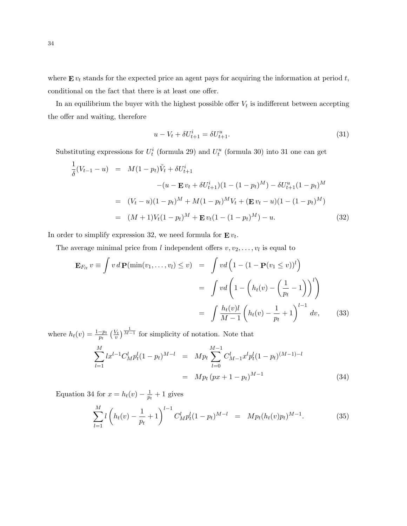where  $\mathbf{E} v_t$  stands for the expected price an agent pays for acquiring the information at period t, conditional on the fact that there is at least one offer.

In an equilibrium the buyer with the highest possible offer  $V_t$  is indifferent between accepting the offer and waiting, therefore

$$
u - V_t + \delta U_{t+1}^i = \delta U_{t+1}^u.
$$
\n(31)

Substituting expressions for  $U_t^i$  (formula 29) and  $U_t^u$  (formula 30) into 31 one can get

$$
\frac{1}{\delta}(V_{t-1} - u) = M(1 - p_t)\tilde{V}_t + \delta U_{t+1}^i
$$
\n
$$
-(u - \mathbf{E} v_t + \delta U_{t+1}^i)(1 - (1 - p_t)^M) - \delta U_{t+1}^u(1 - p_t)^M
$$
\n
$$
= (V_t - u)(1 - p_t)^M + M(1 - p_t)^M V_t + (\mathbf{E} v_t - u)(1 - (1 - p_t)^M)
$$
\n
$$
= (M + 1)V_t(1 - p_t)^M + \mathbf{E} v_t(1 - (1 - p_t)^M) - u. \tag{32}
$$

In order to simplify expression 32, we need formula for  $\mathbf{E} v_t$ .

The average minimal price from l independent offers  $v, v_2, \ldots, v_l$  is equal to

$$
\mathbf{E}_{F_{lt}} v \equiv \int v \, d\mathbf{P}(\min(v_1, \dots, v_l) \le v) = \int v d\left(1 - (1 - \mathbf{P}(v_1 \le v))^l\right)
$$

$$
= \int v d\left(1 - \left(h_t(v) - \left(\frac{1}{p_t} - 1\right)\right)^l\right)
$$

$$
= \int \frac{h_t(v)l}{M - 1} \left(h_t(v) - \frac{1}{p_t} + 1\right)^{l - 1} dv,
$$
(33)

where  $h_t(v) = \frac{1-p_t}{p_t} \left(\frac{V_t}{v}\right)^{\frac{1}{M-1}}$  for simplicity of notation. Note that

$$
\sum_{l=1}^{M} l x^{l-1} C_M^l p_t^l (1 - p_t)^{M-l} = M p_t \sum_{l=0}^{M-1} C_{M-1}^l x^l p_t^l (1 - p_t)^{(M-1)-l}
$$

$$
= M p_t (px + 1 - p_t)^{M-1}
$$
(34)

Equation 34 for  $x = h_t(v) - \frac{1}{p_t}$  $\frac{1}{p_t}+1$  gives

$$
\sum_{l=1}^{M} l \left( h_t(v) - \frac{1}{p_t} + 1 \right)^{l-1} C_M^l p_t^l (1 - p_t)^{M-l} = M p_t (h_t(v) p_t)^{M-1}.
$$
 (35)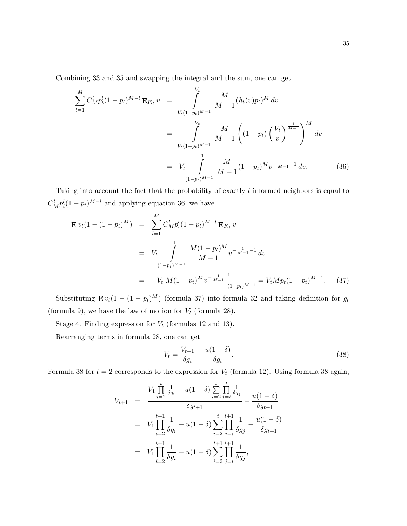Combining 33 and 35 and swapping the integral and the sum, one can get

$$
\sum_{l=1}^{M} C_{M}^{l} p_{t}^{l} (1 - p_{t})^{M-l} \mathbf{E}_{F_{lt}} v = \int_{V_{t}(1 - p_{t})^{M-1}}^{V_{t}} \frac{M}{M-1} (h_{t}(v) p_{t})^{M} dv
$$
\n
$$
= \int_{V_{t}(1 - p_{t})^{M-1}}^{V_{t}} \frac{M}{M-1} \left( (1 - p_{t}) \left( \frac{V_{t}}{v} \right)^{\frac{1}{M-1}} \right)^{M} dv
$$
\n
$$
= V_{t} \int_{(1 - p_{t})^{M-1}}^{1} \frac{M}{M-1} (1 - p_{t})^{M} v^{-\frac{1}{M-1} - 1} dv.
$$
\n(36)

Taking into account the fact that the probability of exactly l informed neighbors is equal to  $C_M^l p_t^l (1 - p_t)^{M-l}$  and applying equation 36, we have

$$
\mathbf{E} v_t (1 - (1 - p_t)^M) = \sum_{l=1}^M C_M^l p_t^l (1 - p_t)^{M-l} \mathbf{E} F_{lt} v
$$
  
=  $V_t \int_{(1 - p_t)^{M-1}}^1 \frac{M (1 - p_t)^M}{M - 1} v^{-\frac{1}{M-1} - 1} dv$   
=  $-V_t M (1 - p_t)^M v^{-\frac{1}{M-1}} \Big|_{(1 - p_t)^{M-1}}^1 = V_t M p_t (1 - p_t)^{M-1}.$  (37)

Substituting  $\mathbf{E} v_t(1-(1-p_t)^M)$  (formula 37) into formula 32 and taking definition for  $g_t$ (formula 9), we have the law of motion for  $V_t$  (formula 28).

Stage 4. Finding expression for  $V_t$  (formulas 12 and 13).

Rearranging terms in formula 28, one can get

$$
V_t = \frac{V_{t-1}}{\delta g_t} - \frac{u(1-\delta)}{\delta g_t}.
$$
\n(38)

Formula 38 for  $t = 2$  corresponds to the expression for  $V_t$  (formula 12). Using formula 38 again,

$$
V_{t+1} = \frac{V_1 \prod_{i=2}^t \frac{1}{\delta g_i} - u(1-\delta) \sum_{i=2}^t \prod_{j=i}^t \frac{1}{\delta g_j}}{\delta g_{t+1}} - \frac{u(1-\delta)}{\delta g_{t+1}}
$$
  
=  $V_1 \prod_{i=2}^{t+1} \frac{1}{\delta g_i} - u(1-\delta) \sum_{i=2}^t \prod_{j=i}^{t+1} \frac{1}{\delta g_j} - \frac{u(1-\delta)}{\delta g_{t+1}}$   
=  $V_1 \prod_{i=2}^{t+1} \frac{1}{\delta g_i} - u(1-\delta) \sum_{i=2}^{t+1} \prod_{j=i}^{t+1} \frac{1}{\delta g_j},$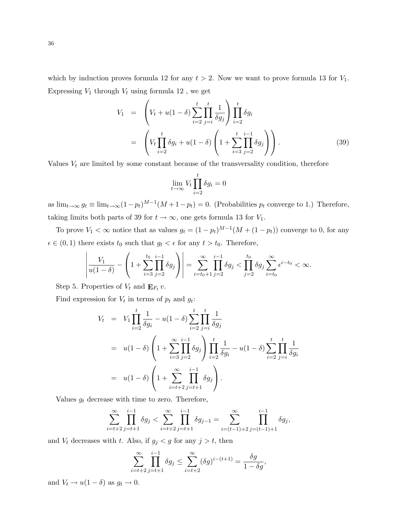which by induction proves formula 12 for any  $t > 2$ . Now we want to prove formula 13 for  $V_1$ . Expressing  $V_1$  through  $V_t$  using formula 12, we get

$$
V_1 = \left( V_t + u(1 - \delta) \sum_{i=2}^t \prod_{j=i}^t \frac{1}{\delta g_j} \right) \prod_{i=2}^t \delta g_i
$$
  
= 
$$
\left( V_t \prod_{i=2}^t \delta g_i + u(1 - \delta) \left( 1 + \sum_{i=3}^t \prod_{j=2}^{i-1} \delta g_j \right) \right).
$$
 (39)

Values  $V_t$  are limited by some constant because of the transversality condition, therefore

$$
\lim_{t \to \infty} V_t \prod_{i=2}^t \delta g_i = 0
$$

as  $\lim_{t\to\infty} g_t \equiv \lim_{t\to\infty} (1-p_t)^{M-1} (M+1-p_t) = 0$ . (Probabilities  $p_t$  converge to 1.) Therefore, taking limits both parts of 39 for  $t \to \infty$ , one gets formula 13 for  $V_1$ .

To prove  $V_1 < \infty$  notice that as values  $g_t = (1 - p_t)^{M-1}(M + (1 - p_t))$  converge to 0, for any  $\epsilon \in (0, 1)$  there exists  $t_0$  such that  $g_t < \epsilon$  for any  $t > t_0$ . Therefore,

$$
\left| \frac{V_1}{u(1-\delta)} - \left(1 + \sum_{i=3}^{t_0} \prod_{j=2}^{i-1} \delta g_j\right) \right| = \sum_{i=t_0+1}^{\infty} \prod_{j=2}^{i-1} \delta g_j < \prod_{j=2}^{t_0} \delta g_j \sum_{i=t_0}^{\infty} \epsilon^{i-t_0} < \infty.
$$

Step 5. Properties of  $V_t$  and  $\mathbf{E}_{F_t} v$ .

Find expression for  $V_t$  in terms of  $p_t$  and  $g_t$ :

$$
V_t = V_1 \prod_{i=2}^t \frac{1}{\delta g_i} - u(1-\delta) \sum_{i=2}^t \prod_{j=i}^t \frac{1}{\delta g_j}
$$
  
=  $u(1-\delta) \left(1 + \sum_{i=3}^\infty \prod_{j=2}^{i-1} \delta g_j\right) \prod_{i=2}^t \frac{1}{\delta g_i} - u(1-\delta) \sum_{i=2}^t \prod_{j=i}^t \frac{1}{\delta g_i}$   
=  $u(1-\delta) \left(1 + \sum_{i=t+2}^\infty \prod_{j=t+1}^{i-1} \delta g_j\right).$ 

Values  $g_t$  decrease with time to zero. Therefore,

$$
\sum_{i=t+2}^{\infty} \prod_{j=t+1}^{i-1} \delta g_j < \sum_{i=t+2}^{\infty} \prod_{j=t+1}^{i-1} \delta g_{j-1} = \sum_{i=(t-1)+2}^{\infty} \prod_{j=(t-1)+1}^{i-1} \delta g_j,
$$

and  $V_t$  decreases with t. Also, if  $g_j < g$  for any  $j > t$ , then

$$
\sum_{i=t+2}^{\infty} \prod_{j=t+1}^{i-1} \delta g_j \le \sum_{i=t+2}^{\infty} (\delta g)^{i-(t+1)} = \frac{\delta g}{1-\delta g},
$$

and  $V_t \rightarrow u(1-\delta)$  as  $g_t \rightarrow 0$ .